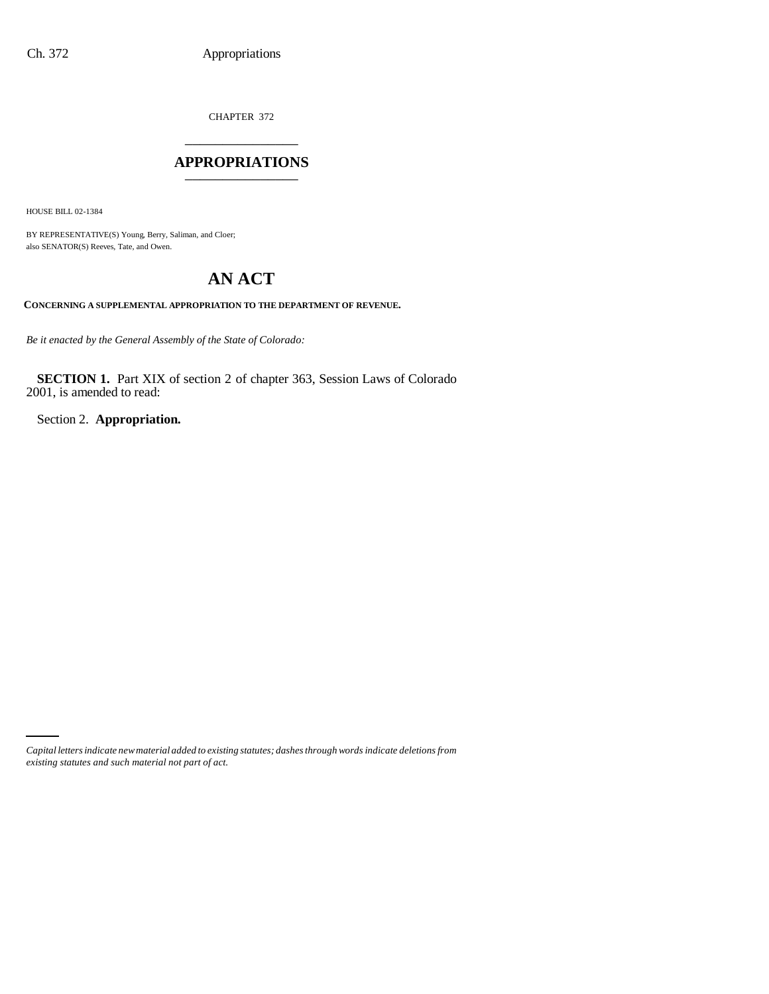CHAPTER 372 \_\_\_\_\_\_\_\_\_\_\_\_\_\_\_

### **APPROPRIATIONS** \_\_\_\_\_\_\_\_\_\_\_\_\_\_\_

HOUSE BILL 02-1384

BY REPRESENTATIVE(S) Young, Berry, Saliman, and Cloer; also SENATOR(S) Reeves, Tate, and Owen.

# **AN ACT**

**CONCERNING A SUPPLEMENTAL APPROPRIATION TO THE DEPARTMENT OF REVENUE.**

*Be it enacted by the General Assembly of the State of Colorado:*

**SECTION 1.** Part XIX of section 2 of chapter 363, Session Laws of Colorado 2001, is amended to read:

Section 2. **Appropriation.**

*Capital letters indicate new material added to existing statutes; dashes through words indicate deletions from existing statutes and such material not part of act.*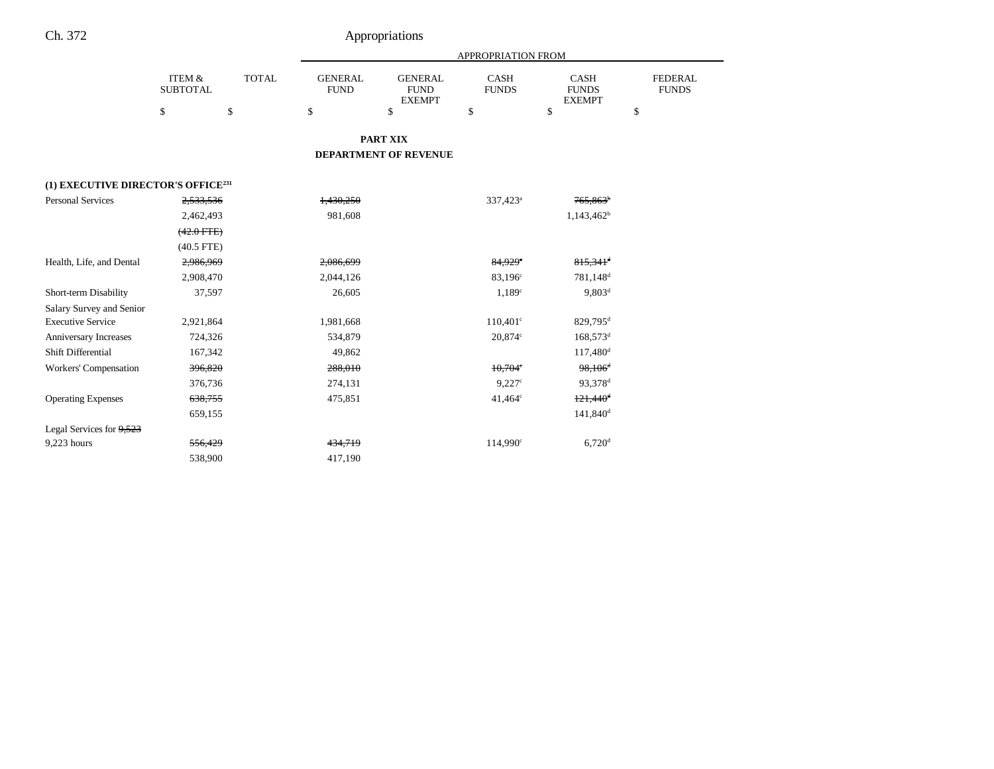|                                                |                                      |              |                               |                                                | APPROPRIATION FROM   |                                              |                                |
|------------------------------------------------|--------------------------------------|--------------|-------------------------------|------------------------------------------------|----------------------|----------------------------------------------|--------------------------------|
|                                                | <b>ITEM &amp;</b><br><b>SUBTOTAL</b> | <b>TOTAL</b> | <b>GENERAL</b><br><b>FUND</b> | <b>GENERAL</b><br><b>FUND</b><br><b>EXEMPT</b> | CASH<br><b>FUNDS</b> | <b>CASH</b><br><b>FUNDS</b><br><b>EXEMPT</b> | <b>FEDERAL</b><br><b>FUNDS</b> |
|                                                | \$                                   | \$           | \$                            | \$                                             | \$                   | \$                                           | \$                             |
|                                                |                                      |              |                               | <b>PART XIX</b>                                |                      |                                              |                                |
|                                                |                                      |              |                               | DEPARTMENT OF REVENUE                          |                      |                                              |                                |
| (1) EXECUTIVE DIRECTOR'S OFFICE <sup>231</sup> |                                      |              |                               |                                                |                      |                                              |                                |
| <b>Personal Services</b>                       | 2,533,536                            |              | 1,430,250                     |                                                | 337,423 <sup>a</sup> | $765,863$ <sup>b</sup>                       |                                |
|                                                | 2,462,493                            |              | 981,608                       |                                                |                      | $1,143,462^b$                                |                                |
|                                                | $(42.0$ FTE)                         |              |                               |                                                |                      |                                              |                                |
|                                                | $(40.5$ FTE)                         |              |                               |                                                |                      |                                              |                                |
| Health, Life, and Dental                       | 2,986,969                            |              | 2,086,699                     |                                                | 84,929 <sup>e</sup>  | $815,341$ <sup>d</sup>                       |                                |
|                                                | 2,908,470                            |              | 2,044,126                     |                                                | $83,196^{\circ}$     | 781,148 <sup>d</sup>                         |                                |
| Short-term Disability                          | 37,597                               |              | 26,605                        |                                                | 1.189 <sup>c</sup>   | $9,803^d$                                    |                                |
| Salary Survey and Senior                       |                                      |              |                               |                                                |                      |                                              |                                |
| <b>Executive Service</b>                       | 2,921,864                            |              | 1,981,668                     |                                                | $110,401^{\circ}$    | $829,795$ <sup>d</sup>                       |                                |
| Anniversary Increases                          | 724,326                              |              | 534,879                       |                                                | 20.874c              | $168,573$ <sup>d</sup>                       |                                |
| Shift Differential                             | 167,342                              |              | 49,862                        |                                                |                      | $117,480$ <sup>d</sup>                       |                                |
| Workers' Compensation                          | 396,820                              |              | 288,010                       |                                                | $10.704^{\circ}$     | $98,106$ <sup>d</sup>                        |                                |
|                                                | 376,736                              |              | 274,131                       |                                                | 9.227c               | 93,378 <sup>d</sup>                          |                                |
| <b>Operating Expenses</b>                      | 638,755                              |              | 475,851                       |                                                | $41,464^{\circ}$     | $121,440$ <sup>d</sup>                       |                                |
|                                                | 659,155                              |              |                               |                                                |                      | $141,840$ <sup>d</sup>                       |                                |
| Legal Services for $9,523$                     |                                      |              |                               |                                                |                      |                                              |                                |
| 9,223 hours                                    | 556,429                              |              | 434,719                       |                                                | 114,990 <sup>c</sup> | $6,720$ <sup>d</sup>                         |                                |
|                                                | 538,900                              |              | 417,190                       |                                                |                      |                                              |                                |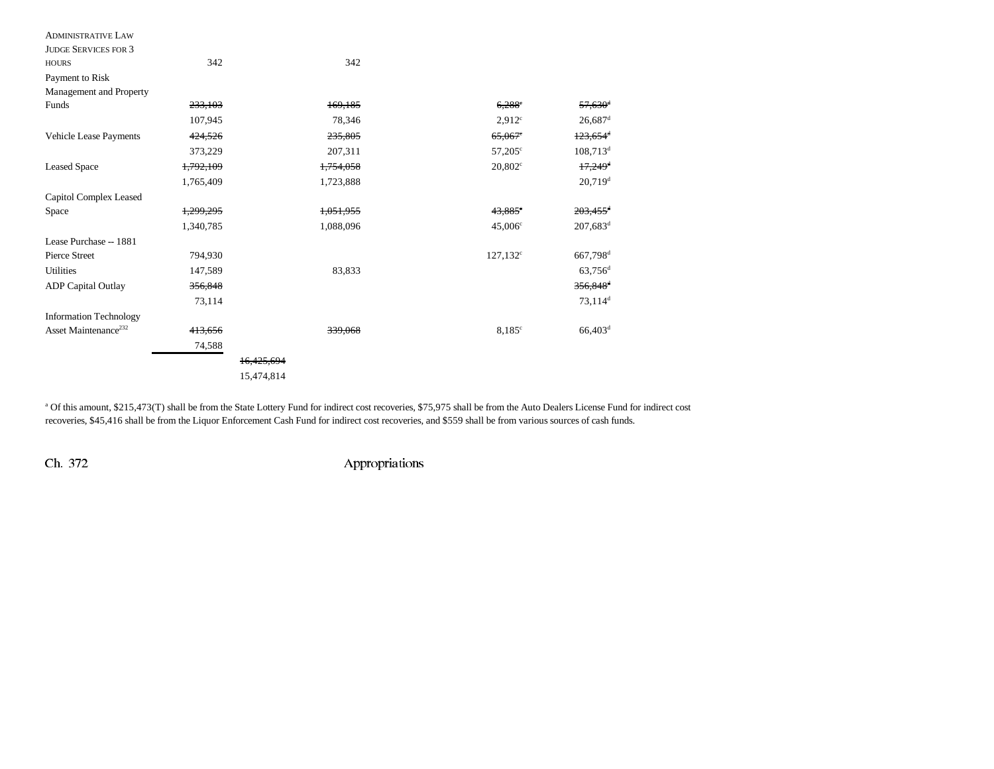| <b>ADMINISTRATIVE LAW</b>        |           |            |                       |                        |
|----------------------------------|-----------|------------|-----------------------|------------------------|
| <b>JUDGE SERVICES FOR 3</b>      |           |            |                       |                        |
| <b>HOURS</b>                     | 342       | 342        |                       |                        |
| Payment to Risk                  |           |            |                       |                        |
| Management and Property          |           |            |                       |                        |
| Funds                            | 233,103   | 169,185    | $6,288^{\circ}$       | $57,630$ <sup>d</sup>  |
|                                  | 107,945   | 78,346     | 2.912 <sup>c</sup>    | $26,687$ <sup>d</sup>  |
| Vehicle Lease Payments           | 424,526   | 235,805    | $65,067$ <sup>c</sup> | $123,654$ <sup>d</sup> |
|                                  | 373,229   | 207,311    | $57,205^{\circ}$      | $108,713^d$            |
| <b>Leased Space</b>              | 1,792,109 | 1,754,058  | $20,802^{\circ}$      | $17,249$ <sup>d</sup>  |
|                                  | 1,765,409 | 1,723,888  |                       | $20,719$ <sup>d</sup>  |
| Capitol Complex Leased           |           |            |                       |                        |
| Space                            | 1,299,295 | 1,051,955  | 43,885 <sup>e</sup>   | $203,455$ <sup>d</sup> |
|                                  | 1,340,785 | 1,088,096  | $45,006^{\circ}$      | $207,683$ <sup>d</sup> |
| Lease Purchase -- 1881           |           |            |                       |                        |
| <b>Pierce Street</b>             | 794,930   |            | $127,132^{\circ}$     | 667,798 <sup>d</sup>   |
| <b>Utilities</b>                 | 147,589   | 83,833     |                       | $63,756$ <sup>d</sup>  |
| <b>ADP</b> Capital Outlay        | 356,848   |            |                       | $356,848$ <sup>d</sup> |
|                                  | 73,114    |            |                       | $73,114$ <sup>d</sup>  |
| <b>Information Technology</b>    |           |            |                       |                        |
| Asset Maintenance <sup>232</sup> | 413,656   | 339,068    | $8,185^\circ$         | $66,403$ <sup>d</sup>  |
|                                  | 74,588    |            |                       |                        |
|                                  |           | 16,425,694 |                       |                        |
|                                  |           | 15,474,814 |                       |                        |
|                                  |           |            |                       |                        |

<sup>a</sup> Of this amount, \$215,473(T) shall be from the State Lottery Fund for indirect cost recoveries, \$75,975 shall be from the Auto Dealers License Fund for indirect cost recoveries, \$45,416 shall be from the Liquor Enforcement Cash Fund for indirect cost recoveries, and \$559 shall be from various sources of cash funds.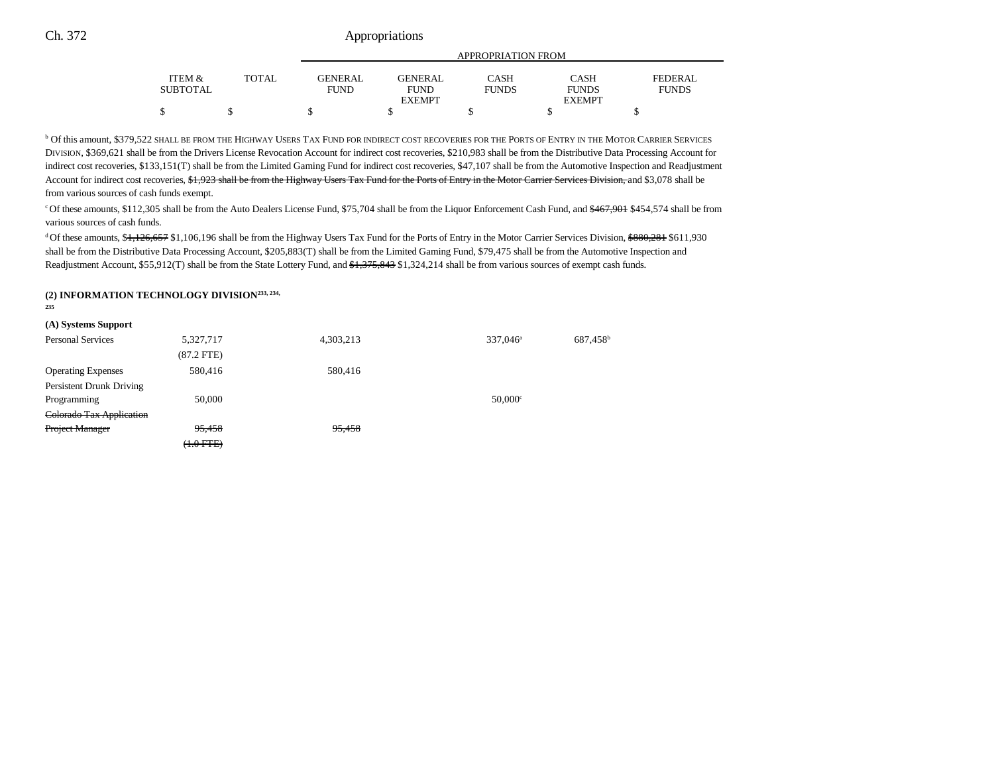|          |              |                | APPROPRIATION FROM           |              |                               |                |
|----------|--------------|----------------|------------------------------|--------------|-------------------------------|----------------|
| ITEM &   | <b>TOTAL</b> | <b>GENERAL</b> | <b>GENERAL</b>               | <b>CASH</b>  | <b>CASH</b>                   | <b>FEDERAL</b> |
| SUBTOTAL |              | <b>FUND</b>    | <b>FUND</b><br><b>EXEMPT</b> | <b>FUNDS</b> | <b>FUNDS</b><br><b>EXEMPT</b> | <b>FUNDS</b>   |
|          |              |                |                              |              |                               |                |

**b Of this amount, \$379,522 SHALL BE FROM THE HIGHWAY USERS TAX FUND FOR INDIRECT COST RECOVERIES FOR THE PORTS OF ENTRY IN THE MOTOR CARRIER SERVICES** DIVISION, \$369,621 shall be from the Drivers License Revocation Account for indirect cost recoveries, \$210,983 shall be from the Distributive Data Processing Account for indirect cost recoveries, \$133,151(T) shall be from the Limited Gaming Fund for indirect cost recoveries, \$47,107 shall be from the Automotive Inspection and Readjustment Account for indirect cost recoveries, \$1,923 shall be from the Highway Users Tax Fund for the Ports of Entry in the Motor Carrier Services Division, and \$3,078 shall be from various sources of cash funds exempt.

<sup>c</sup> Of these amounts, \$112,305 shall be from the Auto Dealers License Fund, \$75,704 shall be from the Liquor Enforcement Cash Fund, and \$467,901 \$454,574 shall be from various sources of cash funds.

<sup>d</sup> Of these amounts, \$<del>1,126,657</del> \$1,106,196 shall be from the Highway Users Tax Fund for the Ports of Entry in the Motor Carrier Services Division, \$880,281 \$611,930 shall be from the Distributive Data Processing Account, \$205,883(T) shall be from the Limited Gaming Fund, \$79,475 shall be from the Automotive Inspection and Readjustment Account, \$55,912(T) shall be from the State Lottery Fund, and \$1,375,843 \$1,324,214 shall be from various sources of exempt cash funds.

#### **(2) INFORMATION TECHNOLOGY DIVISION233, 234,**

**235**

| (A) Systems Support       |                |           |                       |                      |
|---------------------------|----------------|-----------|-----------------------|----------------------|
| Personal Services         | 5,327,717      | 4,303,213 | $337.046^a$           | 687,458 <sup>b</sup> |
|                           | $(87.2$ FTE)   |           |                       |                      |
| <b>Operating Expenses</b> | 580.416        | 580.416   |                       |                      |
| Persistent Drunk Driving  |                |           |                       |                      |
| Programming               | 50,000         |           | $50.000$ <sup>c</sup> |                      |
| Colorado Tax Application  |                |           |                       |                      |
| <b>Project Manager</b>    | 95,458         | 95,458    |                       |                      |
|                           | $(1.0$ FTE $)$ |           |                       |                      |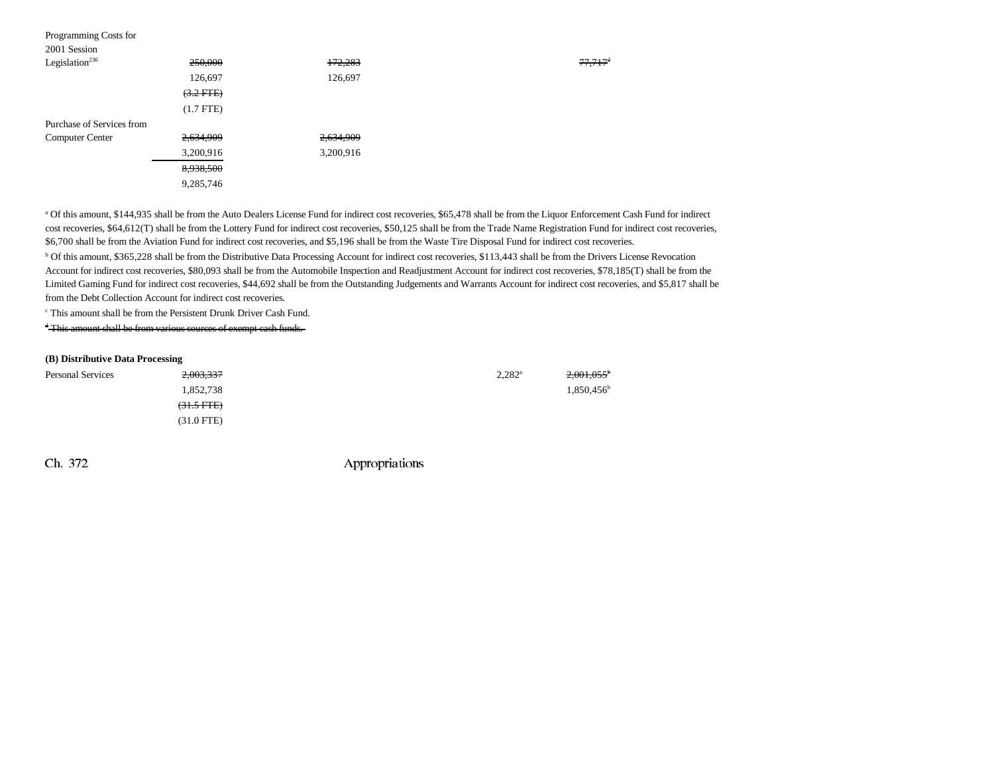| Programming Costs for      |                |           |                     |
|----------------------------|----------------|-----------|---------------------|
| 2001 Session               |                |           |                     |
| Legislation <sup>236</sup> | 250,000        | 172,283   | 77,717 <sup>d</sup> |
|                            | 126,697        | 126,697   |                     |
|                            | $(3.2$ FTE)    |           |                     |
|                            | $(1.7$ FTE $)$ |           |                     |
| Purchase of Services from  |                |           |                     |
| <b>Computer Center</b>     | 2,634,909      | 2,634,909 |                     |
|                            | 3,200,916      | 3,200,916 |                     |
|                            | 8,938,500      |           |                     |
|                            | 9,285,746      |           |                     |
|                            |                |           |                     |

a Of this amount, \$144,935 shall be from the Auto Dealers License Fund for indirect cost recoveries, \$65,478 shall be from the Liquor Enforcement Cash Fund for indirect cost recoveries, \$64,612(T) shall be from the Lottery Fund for indirect cost recoveries, \$50,125 shall be from the Trade Name Registration Fund for indirect cost recoveries, \$6,700 shall be from the Aviation Fund for indirect cost recoveries, and \$5,196 shall be from the Waste Tire Disposal Fund for indirect cost recoveries.

b Of this amount, \$365,228 shall be from the Distributive Data Processing Account for indirect cost recoveries, \$113,443 shall be from the Drivers License Revocation Account for indirect cost recoveries, \$80,093 shall be from the Automobile Inspection and Readjustment Account for indirect cost recoveries, \$78,185(T) shall be from the Limited Gaming Fund for indirect cost recoveries, \$44,692 shall be from the Outstanding Judgements and Warrants Account for indirect cost recoveries, and \$5,817 shall be from the Debt Collection Account for indirect cost recoveries.

c This amount shall be from the Persistent Drunk Driver Cash Fund.

d This amount shall be from various sources of exempt cash funds.

#### **(B) Distributive Data Processing**

| <b>Personal Services</b> | <del>2,003,337</del> | $2,282^{\rm a}$ | $2,001,055^{\circ}$ |
|--------------------------|----------------------|-----------------|---------------------|
|                          | 1,852,738            |                 | $1,850,456^{\circ}$ |
|                          | $(31.5 \text{ FFE})$ |                 |                     |
|                          | $(31.0$ FTE)         |                 |                     |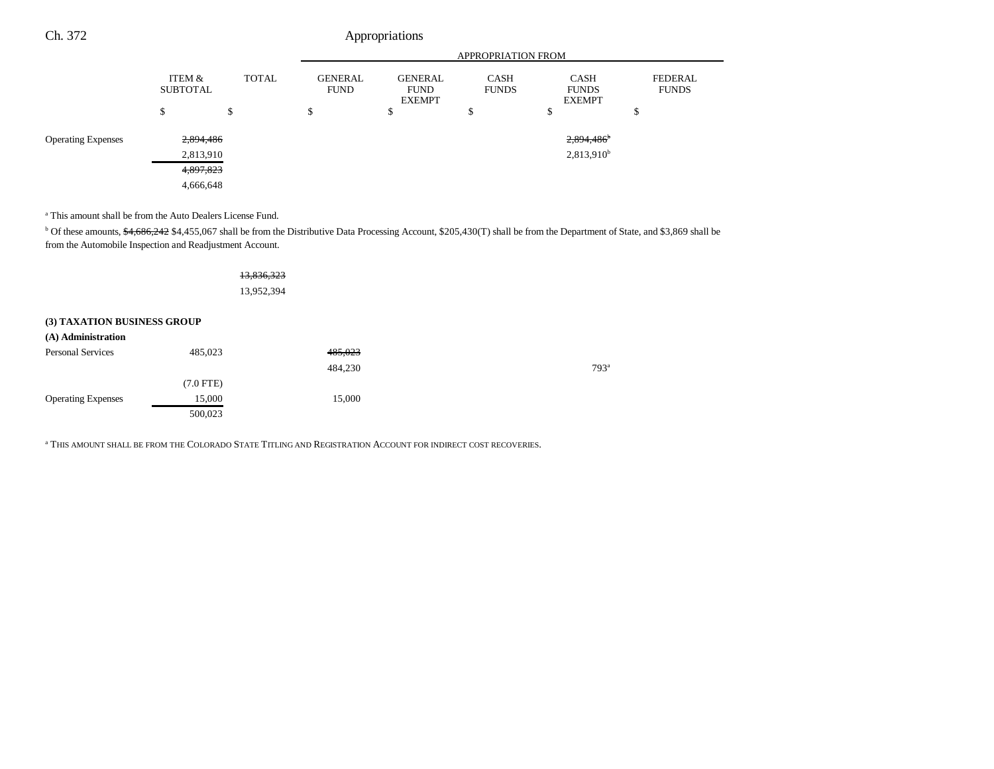|                           |                           |                  | <b>APPROPRIATION FROM</b>     |                                                |                             |                                                    |                                |
|---------------------------|---------------------------|------------------|-------------------------------|------------------------------------------------|-----------------------------|----------------------------------------------------|--------------------------------|
|                           | ITEM &<br><b>SUBTOTAL</b> | <b>TOTAL</b>     | <b>GENERAL</b><br><b>FUND</b> | <b>GENERAL</b><br><b>FUND</b><br><b>EXEMPT</b> | <b>CASH</b><br><b>FUNDS</b> | <b>CASH</b><br><b>FUNDS</b><br><b>EXEMPT</b>       | <b>FEDERAL</b><br><b>FUNDS</b> |
|                           | S                         | $\triangle$<br>ъ | D                             | \$                                             | ሖ<br>D                      | \$                                                 | ¢<br>Φ                         |
| <b>Operating Expenses</b> | 2,894,486<br>2,813,910    |                  |                               |                                                |                             | $2,894,486$ <sup>b</sup><br>2,813,910 <sup>b</sup> |                                |
|                           | 4,897,823                 |                  |                               |                                                |                             |                                                    |                                |
|                           | 4,666,648                 |                  |                               |                                                |                             |                                                    |                                |

a This amount shall be from the Auto Dealers License Fund.

<sup>b</sup> Of these amounts, \$4,686,242 \$4,455,067 shall be from the Distributive Data Processing Account, \$205,430(T) shall be from the Department of State, and \$3,869 shall be from the Automobile Inspection and Readjustment Account.

|                             |             | 13,836,323 |               |
|-----------------------------|-------------|------------|---------------|
|                             |             | 13,952,394 |               |
| (3) TAXATION BUSINESS GROUP |             |            |               |
| (A) Administration          |             |            |               |
| <b>Personal Services</b>    | 485,023     | 485,023    |               |
|                             |             | 484,230    | $793^{\circ}$ |
|                             | $(7.0$ FTE) |            |               |
| <b>Operating Expenses</b>   | 15,000      | 15,000     |               |
|                             | 500,023     |            |               |

a THIS AMOUNT SHALL BE FROM THE COLORADO STATE TITLING AND REGISTRATION ACCOUNT FOR INDIRECT COST RECOVERIES.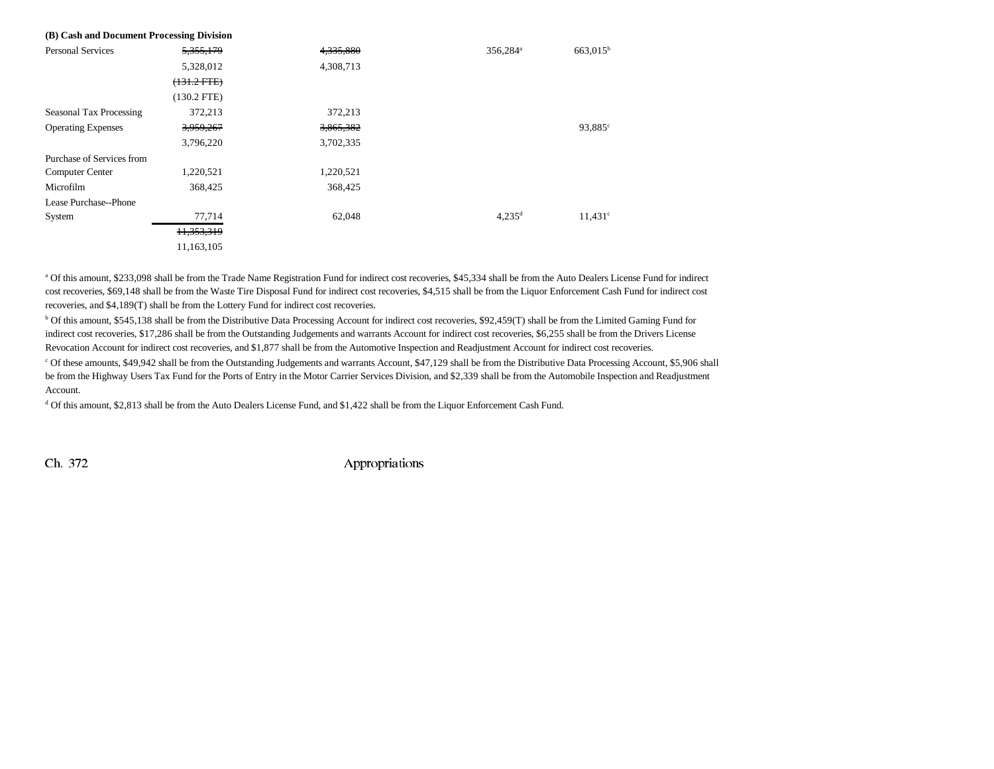| (B) Cash and Document Processing Division |               |           |                      |                   |
|-------------------------------------------|---------------|-----------|----------------------|-------------------|
| <b>Personal Services</b>                  | 5, 355, 179   | 4,335,880 | 356,284 <sup>a</sup> | $663,015^{\rm b}$ |
|                                           | 5,328,012     | 4,308,713 |                      |                   |
|                                           | $(131.2$ FTE) |           |                      |                   |
|                                           | $(130.2$ FTE) |           |                      |                   |
| Seasonal Tax Processing                   | 372,213       | 372,213   |                      |                   |
| <b>Operating Expenses</b>                 | 3,959,267     | 3,865,382 |                      | $93,885^{\circ}$  |
|                                           | 3,796,220     | 3,702,335 |                      |                   |
| Purchase of Services from                 |               |           |                      |                   |
| <b>Computer Center</b>                    | 1,220,521     | 1,220,521 |                      |                   |
| Microfilm                                 | 368,425       | 368,425   |                      |                   |
| Lease Purchase--Phone                     |               |           |                      |                   |
| System                                    | 77,714        | 62,048    | $4,235$ <sup>d</sup> | $11,431^c$        |
|                                           | 11,353,319    |           |                      |                   |
|                                           | 11,163,105    |           |                      |                   |

a Of this amount, \$233,098 shall be from the Trade Name Registration Fund for indirect cost recoveries, \$45,334 shall be from the Auto Dealers License Fund for indirect cost recoveries, \$69,148 shall be from the Waste Tire Disposal Fund for indirect cost recoveries, \$4,515 shall be from the Liquor Enforcement Cash Fund for indirect cost recoveries, and \$4,189(T) shall be from the Lottery Fund for indirect cost recoveries.

b Of this amount, \$545,138 shall be from the Distributive Data Processing Account for indirect cost recoveries, \$92,459(T) shall be from the Limited Gaming Fund for indirect cost recoveries, \$17,286 shall be from the Outstanding Judgements and warrants Account for indirect cost recoveries, \$6,255 shall be from the Drivers License Revocation Account for indirect cost recoveries, and \$1,877 shall be from the Automotive Inspection and Readjustment Account for indirect cost recoveries.

c Of these amounts, \$49,942 shall be from the Outstanding Judgements and warrants Account, \$47,129 shall be from the Distributive Data Processing Account, \$5,906 shall be from the Highway Users Tax Fund for the Ports of Entry in the Motor Carrier Services Division, and \$2,339 shall be from the Automobile Inspection and Readjustment Account.

d Of this amount, \$2,813 shall be from the Auto Dealers License Fund, and \$1,422 shall be from the Liquor Enforcement Cash Fund.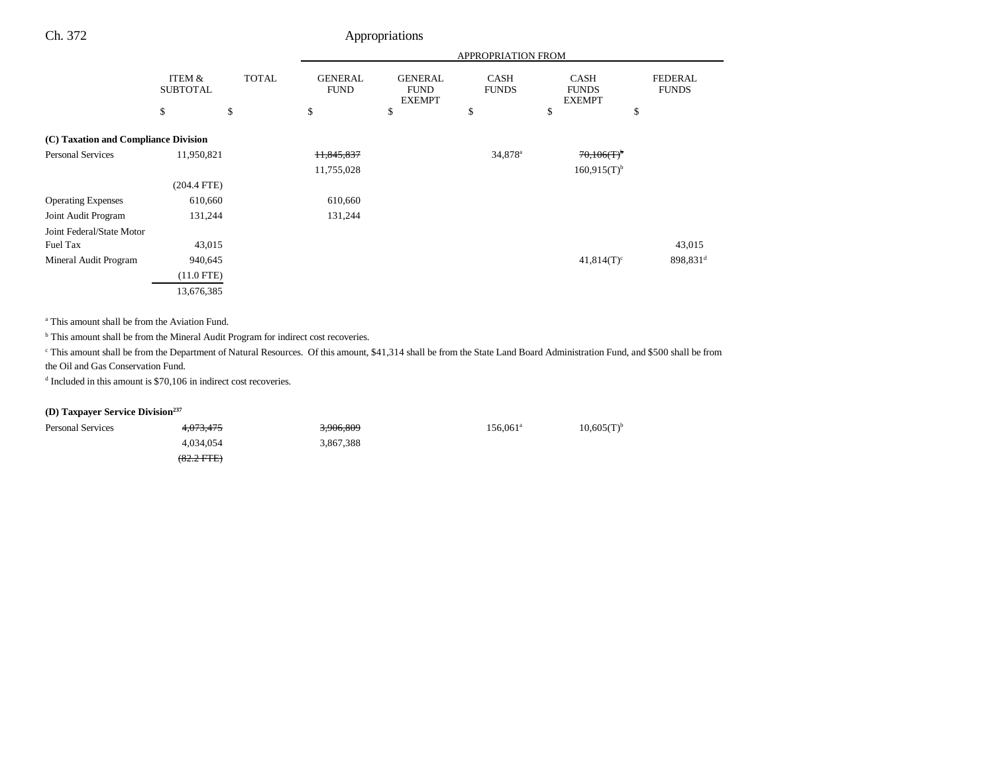|                                      |                           |              | <b>APPROPRIATION FROM</b>     |                                                |                             |                                              |                                |
|--------------------------------------|---------------------------|--------------|-------------------------------|------------------------------------------------|-----------------------------|----------------------------------------------|--------------------------------|
|                                      | ITEM &<br><b>SUBTOTAL</b> | <b>TOTAL</b> | <b>GENERAL</b><br><b>FUND</b> | <b>GENERAL</b><br><b>FUND</b><br><b>EXEMPT</b> | <b>CASH</b><br><b>FUNDS</b> | <b>CASH</b><br><b>FUNDS</b><br><b>EXEMPT</b> | <b>FEDERAL</b><br><b>FUNDS</b> |
|                                      | \$                        | \$           | \$                            | \$                                             | \$                          | \$                                           | \$                             |
| (C) Taxation and Compliance Division |                           |              |                               |                                                |                             |                                              |                                |
| <b>Personal Services</b>             | 11,950,821                |              | 11,845,837                    |                                                | 34,878 <sup>a</sup>         | $70,106(T)$ <sup>b</sup>                     |                                |
|                                      |                           |              | 11,755,028                    |                                                |                             | $160,915(T)^{b}$                             |                                |
|                                      | $(204.4$ FTE)             |              |                               |                                                |                             |                                              |                                |
| <b>Operating Expenses</b>            | 610,660                   |              | 610,660                       |                                                |                             |                                              |                                |
| Joint Audit Program                  | 131,244                   |              | 131,244                       |                                                |                             |                                              |                                |
| Joint Federal/State Motor            |                           |              |                               |                                                |                             |                                              |                                |
| Fuel Tax                             | 43,015                    |              |                               |                                                |                             |                                              | 43,015                         |
| Mineral Audit Program                | 940,645                   |              |                               |                                                |                             | $41,814(T)^c$                                | 898,831 <sup>d</sup>           |
|                                      | $(11.0$ FTE)              |              |                               |                                                |                             |                                              |                                |
|                                      | 13,676,385                |              |                               |                                                |                             |                                              |                                |

a This amount shall be from the Aviation Fund.

 $^{\rm b}$  This amount shall be from the Mineral Audit Program for indirect cost recoveries.

<sup>c</sup> This amount shall be from the Department of Natural Resources. Of this amount, \$41,314 shall be from the State Land Board Administration Fund, and \$500 shall be from the Oil and Gas Conservation Fund.

<sup>d</sup> Included in this amount is \$70,106 in indirect cost recoveries.

### **(D) Taxpayer Service Division237**

| <b>Personal Services</b> | 4,073,475            | 3,906,809 | 156.061ª | $10,605(T)^{b}$ |
|--------------------------|----------------------|-----------|----------|-----------------|
|                          | 4.034.054            | 3,867,388 |          |                 |
|                          | $(82.2 \text{ FFE})$ |           |          |                 |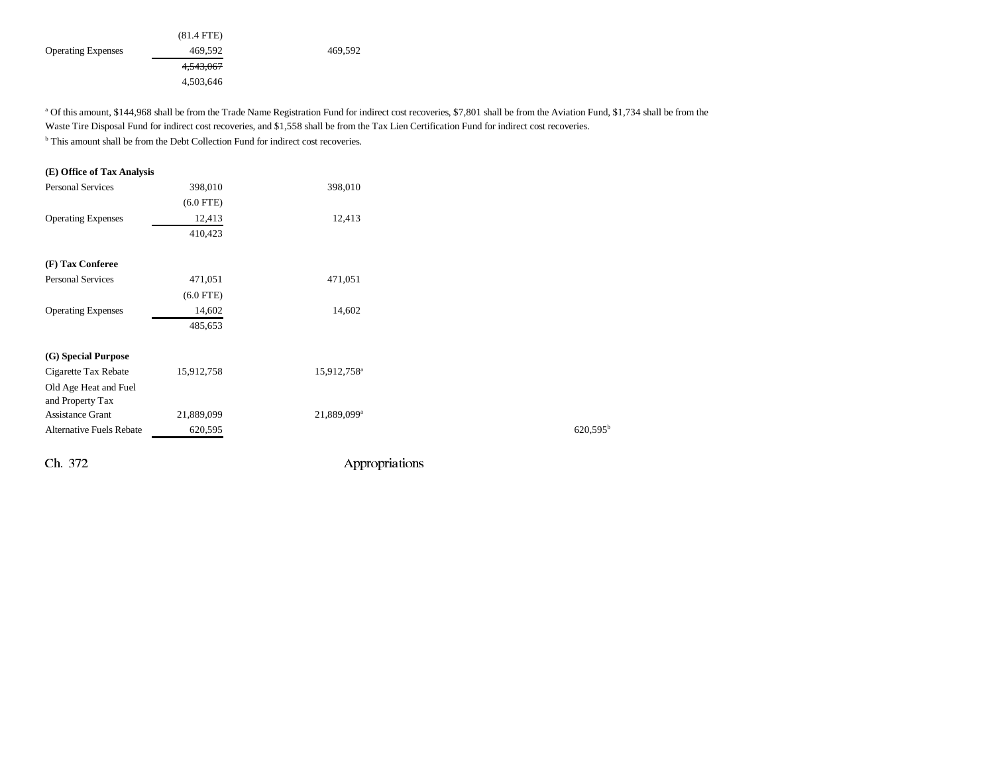|                           | $(81.4$ FTE) |         |
|---------------------------|--------------|---------|
| <b>Operating Expenses</b> | 469,592      | 469,592 |
|                           | 4,543,067    |         |
|                           | 4,503,646    |         |

a Of this amount, \$144,968 shall be from the Trade Name Registration Fund for indirect cost recoveries, \$7,801 shall be from the Aviation Fund, \$1,734 shall be from the Waste Tire Disposal Fund for indirect cost recoveries, and \$1,558 shall be from the Tax Lien Certification Fund for indirect cost recoveries.

<sup>b</sup> This amount shall be from the Debt Collection Fund for indirect cost recoveries.

# **(E) Office of Tax Analysis** Personal Services 398,010 398,010 (6.0 FTE) Operating Expenses 12,413 12,413 410,423 **(F) Tax Conferee** Personal Services 471,051 471,051 (6.0 FTE) Operating Expenses 14,602 14,602 485,653 **(G) Special Purpose**  Cigarette Tax Rebate 15,912,758 15,912,758<sup>a</sup> Old Age Heat and Fuel and Property Tax Assistance Grant 21,889,099 21,889,099<sup>a</sup> Alternative Fuels Rebate 620,595<sup>b</sup> 620,595<sup>b</sup> 620,595<sup>b</sup> 620,595<sup>b</sup>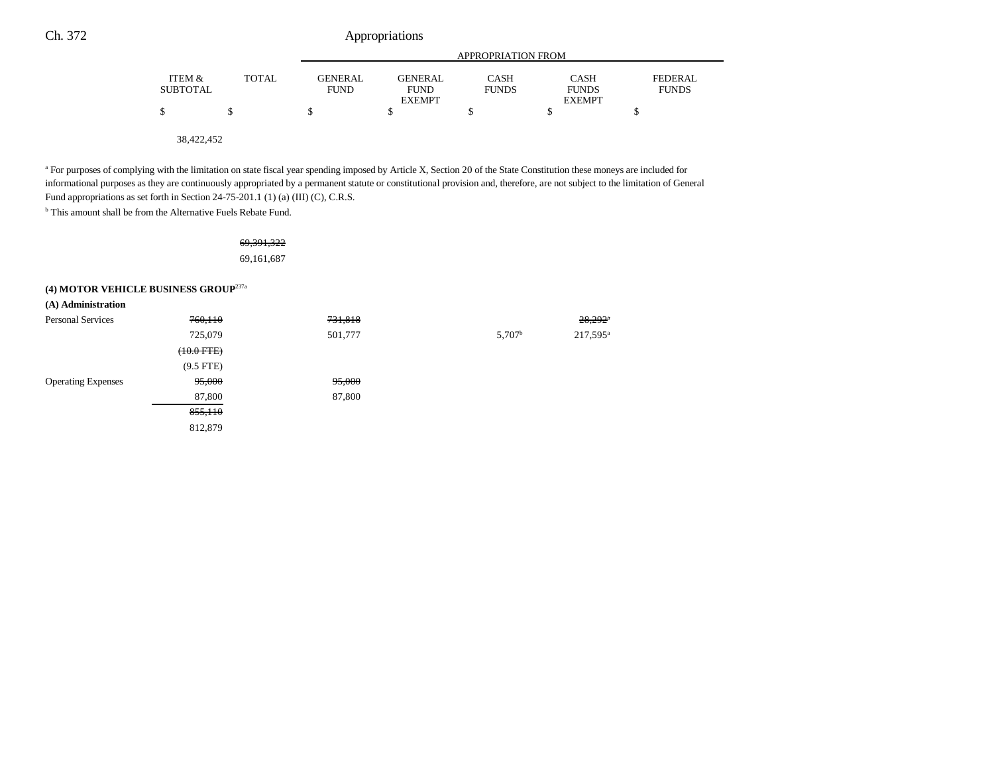|                           |              | APPROPRIATION FROM            |                                                |                             |                                              |                                |  |
|---------------------------|--------------|-------------------------------|------------------------------------------------|-----------------------------|----------------------------------------------|--------------------------------|--|
| ITEM &<br><b>SUBTOTAL</b> | <b>TOTAL</b> | <b>GENERAL</b><br><b>FUND</b> | <b>GENERAL</b><br><b>FUND</b><br><b>EXEMPT</b> | <b>CASH</b><br><b>FUNDS</b> | <b>CASH</b><br><b>FUNDS</b><br><b>EXEMPT</b> | <b>FEDERAL</b><br><b>FUNDS</b> |  |
| S                         |              | \$                            |                                                |                             |                                              |                                |  |
| 38.422.452                |              |                               |                                                |                             |                                              |                                |  |

<sup>a</sup> For purposes of complying with the limitation on state fiscal year spending imposed by Article X, Section 20 of the State Constitution these moneys are included for informational purposes as they are continuously appropriated by a permanent statute or constitutional provision and, therefore, are not subject to the limitation of General Fund appropriations as set forth in Section 24-75-201.1 (1) (a) (III) (C), C.R.S.

<sup>b</sup> This amount shall be from the Alternative Fuels Rebate Fund.

### 69,391,322 69,161,687

# **(4) MOTOR VEHICLE BUSINESS GROUP**237a

| (A) Administration        |                      |         |                    |                       |
|---------------------------|----------------------|---------|--------------------|-----------------------|
| <b>Personal Services</b>  | 760,110              | 731,818 |                    | $28,292$ <sup>*</sup> |
|                           | 725,079              | 501,777 | 5,707 <sup>b</sup> | 217,595 <sup>a</sup>  |
|                           | $(10.0 \text{ FFE})$ |         |                    |                       |
|                           | $(9.5$ FTE $)$       |         |                    |                       |
| <b>Operating Expenses</b> | 95,000               | 95,000  |                    |                       |
|                           | 87,800               | 87,800  |                    |                       |
|                           | 855,110              |         |                    |                       |
|                           | 812,879              |         |                    |                       |
|                           |                      |         |                    |                       |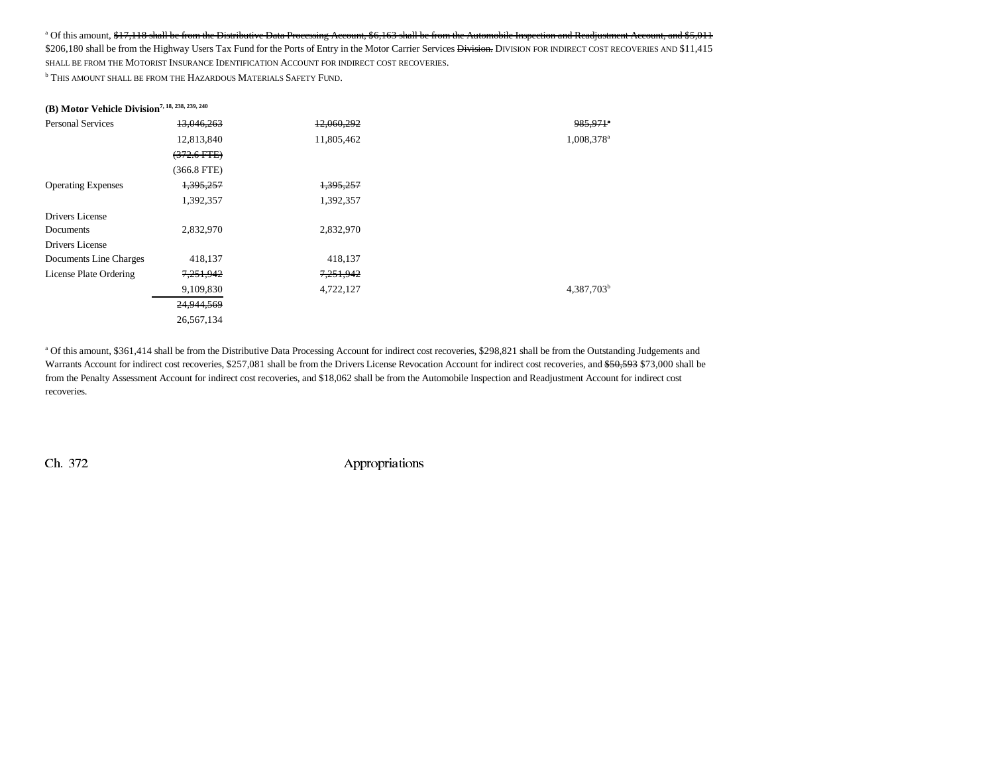#### <sup>a</sup> Of this amount, \$17,118 shall be from the Distributive Data Processing Account, \$6,163 shall be from the Automobile Inspection and Readjustment Account, and \$5,011

\$206,180 shall be from the Highway Users Tax Fund for the Ports of Entry in the Motor Carrier Services Division. DIVISION FOR INDIRECT COST RECOVERIES AND \$11,415 SHALL BE FROM THE MOTORIST INSURANCE IDENTIFICATION ACCOUNT FOR INDIRECT COST RECOVERIES.

**b** This amount shall be from the Hazardous Materials Safety Fund.

# **(B) Motor Vehicle Division7, 18, 238, 239, 240**

| <b>Personal Services</b>  | 13,046,263    | 12,060,292 | 985,971*               |
|---------------------------|---------------|------------|------------------------|
|                           | 12,813,840    | 11,805,462 | 1,008,378 <sup>a</sup> |
|                           | $(372.6$ FTE) |            |                        |
|                           | $(366.8$ FTE) |            |                        |
| <b>Operating Expenses</b> | 1,395,257     | 1,395,257  |                        |
|                           | 1,392,357     | 1,392,357  |                        |
| Drivers License           |               |            |                        |
| Documents                 | 2,832,970     | 2,832,970  |                        |
| Drivers License           |               |            |                        |
| Documents Line Charges    | 418,137       | 418,137    |                        |
| License Plate Ordering    | 7,251,942     | 7,251,942  |                        |
|                           | 9,109,830     | 4,722,127  | 4,387,703 <sup>b</sup> |
|                           | 24,944,569    |            |                        |
|                           | 26,567,134    |            |                        |

a Of this amount, \$361,414 shall be from the Distributive Data Processing Account for indirect cost recoveries, \$298,821 shall be from the Outstanding Judgements and Warrants Account for indirect cost recoveries, \$257,081 shall be from the Drivers License Revocation Account for indirect cost recoveries, and \$50,593 \$73,000 shall be from the Penalty Assessment Account for indirect cost recoveries, and \$18,062 shall be from the Automobile Inspection and Readjustment Account for indirect cost recoveries.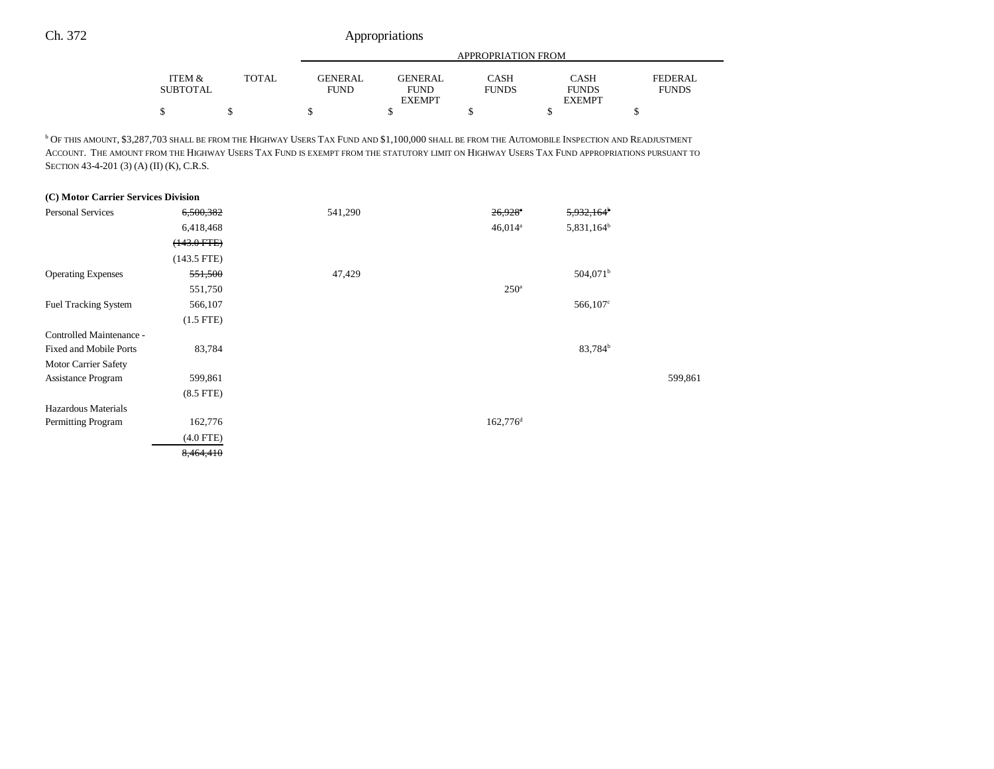| ITEM &   |       |         | APPROPRIATION FROM           |              |                               |                |  |  |  |
|----------|-------|---------|------------------------------|--------------|-------------------------------|----------------|--|--|--|
|          | TOTAL | GENERAL | GENERAL                      | CASH         | <b>CASH</b>                   | <b>FEDERAL</b> |  |  |  |
| SUBTOTAL |       | FUND    | <b>FUND</b><br><b>EXEMPT</b> | <b>FUNDS</b> | <b>FUNDS</b><br><b>EXEMPT</b> | <b>FUNDS</b>   |  |  |  |
|          |       |         |                              |              |                               |                |  |  |  |

 $^{\rm b}$  Of this amount, \$3,287,703 shall be from the Highway Users Tax Fund and \$1,100,000 shall be from the Automobile Inspection and Readjustment ACCOUNT. THE AMOUNT FROM THE HIGHWAY USERS TAX FUND IS EXEMPT FROM THE STATUTORY LIMIT ON HIGHWAY USERS TAX FUND APPROPRIATIONS PURSUANT TO SECTION 43-4-201 (3) (A) (II) (K), C.R.S.

| (C) Motor Carrier Services Division |                  |         |                       |                        |         |
|-------------------------------------|------------------|---------|-----------------------|------------------------|---------|
| <b>Personal Services</b>            | 6,500,382        | 541,290 | $26,928$ <sup>a</sup> | $5,932,164^{\circ}$    |         |
|                                     | 6,418,468        |         | $46,014$ <sup>a</sup> | 5,831,164 <sup>b</sup> |         |
|                                     | $(143.0$ FTE $)$ |         |                       |                        |         |
|                                     | $(143.5$ FTE)    |         |                       |                        |         |
| <b>Operating Expenses</b>           | 551,500          | 47,429  |                       | 504,071 <sup>b</sup>   |         |
|                                     | 551,750          |         | 250 <sup>a</sup>      |                        |         |
| <b>Fuel Tracking System</b>         | 566,107          |         |                       | $566,107^{\circ}$      |         |
|                                     | $(1.5$ FTE)      |         |                       |                        |         |
| Controlled Maintenance -            |                  |         |                       |                        |         |
| <b>Fixed and Mobile Ports</b>       | 83,784           |         |                       | 83,784 <sup>b</sup>    |         |
| Motor Carrier Safety                |                  |         |                       |                        |         |
| <b>Assistance Program</b>           | 599,861          |         |                       |                        | 599,861 |
|                                     | $(8.5$ FTE $)$   |         |                       |                        |         |
| Hazardous Materials                 |                  |         |                       |                        |         |
| Permitting Program                  | 162,776          |         | 162,776 <sup>d</sup>  |                        |         |
|                                     | $(4.0$ FTE)      |         |                       |                        |         |
|                                     | 8,464,410        |         |                       |                        |         |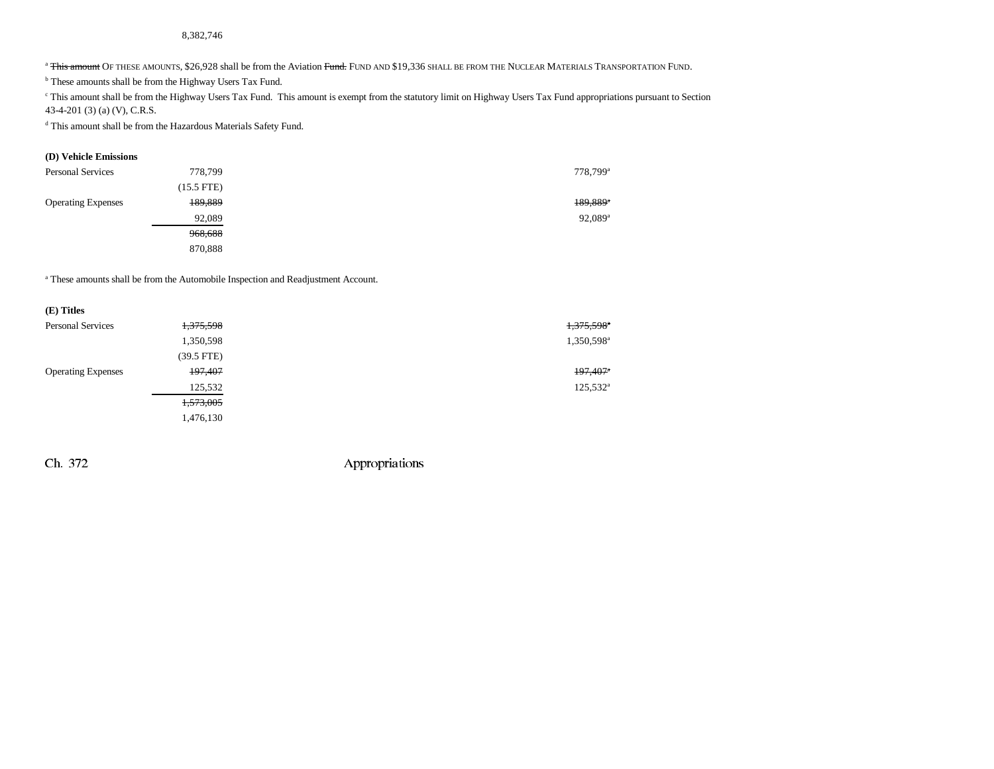#### 8,382,746

<sup>a</sup> <del>This amount</del> Of these amounts, \$26,928 shall be from the Aviation <del>Fund.</del> Fund and \$19,336 shall be from the Nuclear Materials Transportation Fund.

b These amounts shall be from the Highway Users Tax Fund.

c This amount shall be from the Highway Users Tax Fund. This amount is exempt from the statutory limit on Highway Users Tax Fund appropriations pursuant to Section 43-4-201 (3) (a) (V), C.R.S.

d This amount shall be from the Hazardous Materials Safety Fund.

#### **(D) Vehicle Emissions**

| <b>Personal Services</b>  | 778,799    | 778,799 <sup>a</sup>   |
|---------------------------|------------|------------------------|
|                           | (15.5 FTE) |                        |
| <b>Operating Expenses</b> | 189,889    | $189,889$ <sup>*</sup> |
|                           | 92,089     | $92,089$ <sup>a</sup>  |
|                           | 968,688    |                        |
|                           | 870,888    |                        |

a These amounts shall be from the Automobile Inspection and Readjustment Account.

| (E) Titles                |              |                        |
|---------------------------|--------------|------------------------|
| <b>Personal Services</b>  | 1,375,598    | 1,375,598 <sup>a</sup> |
|                           | 1,350,598    | 1,350,598 <sup>a</sup> |
|                           | $(39.5$ FTE) |                        |
| <b>Operating Expenses</b> | 197,407      | $197,407$ <sup>*</sup> |
|                           | 125,532      | $125,532^{\circ}$      |
|                           | 1,573,005    |                        |
|                           | 1,476,130    |                        |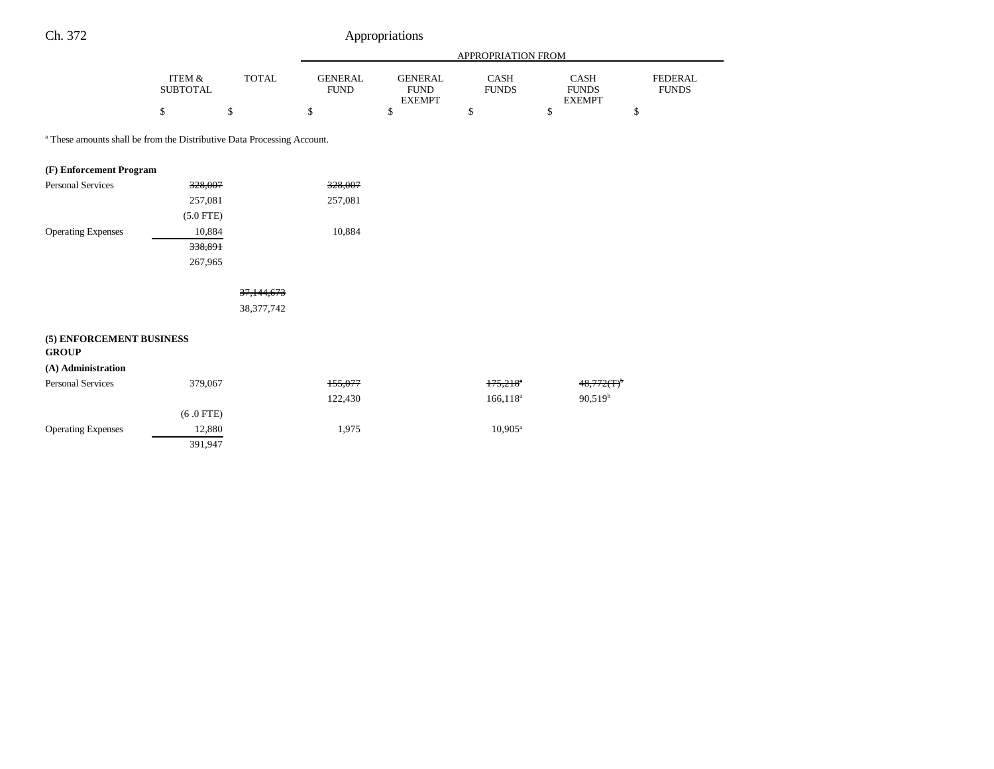|                                                                                    |                              |              |                               |                                                | APPROPRIATION FROM     |                                              |                                |
|------------------------------------------------------------------------------------|------------------------------|--------------|-------------------------------|------------------------------------------------|------------------------|----------------------------------------------|--------------------------------|
|                                                                                    | ITEM $\&$<br><b>SUBTOTAL</b> | <b>TOTAL</b> | <b>GENERAL</b><br><b>FUND</b> | <b>GENERAL</b><br><b>FUND</b><br><b>EXEMPT</b> | CASH<br><b>FUNDS</b>   | <b>CASH</b><br><b>FUNDS</b><br><b>EXEMPT</b> | <b>FEDERAL</b><br><b>FUNDS</b> |
|                                                                                    | \$                           | \$           | \$                            | \$                                             | \$                     | \$                                           | \$                             |
| <sup>a</sup> These amounts shall be from the Distributive Data Processing Account. |                              |              |                               |                                                |                        |                                              |                                |
| (F) Enforcement Program                                                            |                              |              |                               |                                                |                        |                                              |                                |
| <b>Personal Services</b>                                                           | 328,007                      |              | 328,007                       |                                                |                        |                                              |                                |
|                                                                                    | 257,081                      |              | 257,081                       |                                                |                        |                                              |                                |
|                                                                                    | $(5.0$ FTE)                  |              |                               |                                                |                        |                                              |                                |
| <b>Operating Expenses</b>                                                          | 10,884                       |              | 10,884                        |                                                |                        |                                              |                                |
|                                                                                    | 338,891                      |              |                               |                                                |                        |                                              |                                |
|                                                                                    | 267,965                      |              |                               |                                                |                        |                                              |                                |
|                                                                                    |                              | 37,144,673   |                               |                                                |                        |                                              |                                |
|                                                                                    |                              | 38, 377, 742 |                               |                                                |                        |                                              |                                |
| (5) ENFORCEMENT BUSINESS<br><b>GROUP</b>                                           |                              |              |                               |                                                |                        |                                              |                                |
| (A) Administration<br><b>Personal Services</b>                                     | 379,067                      |              | 155,077                       |                                                | $175,218$ <sup>*</sup> | 48,772(T) <sup>b</sup>                       |                                |
|                                                                                    |                              |              | 122,430                       |                                                | $166, 118^a$           | $90,519^b$                                   |                                |
|                                                                                    | $(6.0$ FTE)                  |              |                               |                                                |                        |                                              |                                |
| <b>Operating Expenses</b>                                                          | 12,880                       |              | 1,975                         |                                                | $10.905^{\text{a}}$    |                                              |                                |
|                                                                                    | 391,947                      |              |                               |                                                |                        |                                              |                                |
|                                                                                    |                              |              |                               |                                                |                        |                                              |                                |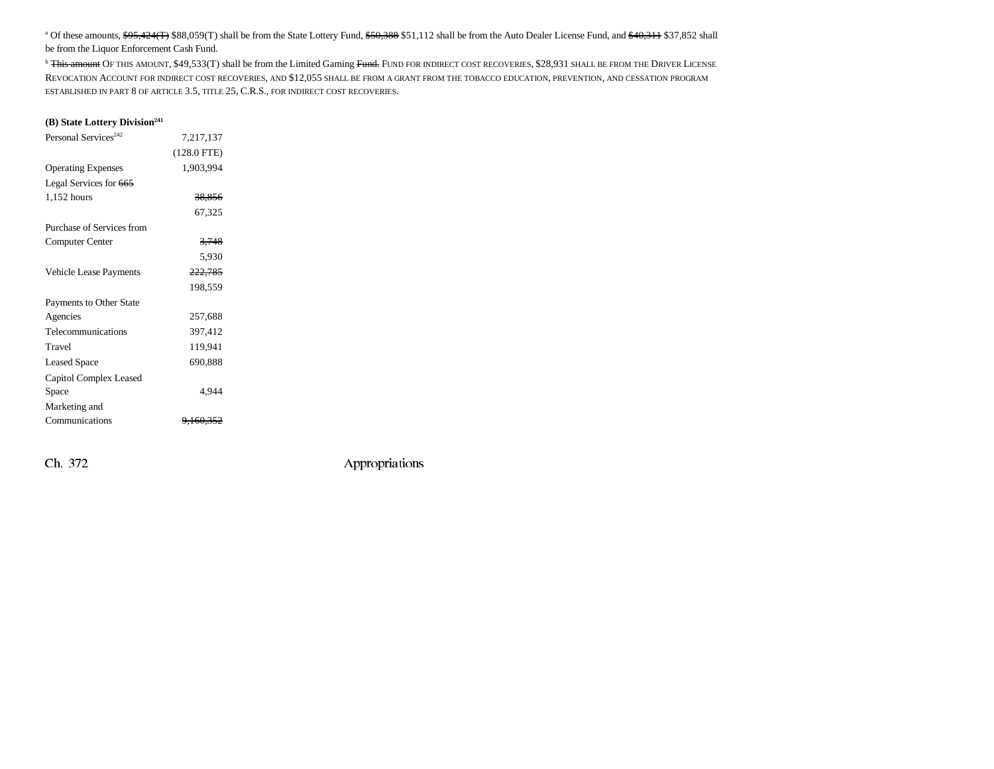<sup>a</sup> Of these amounts, \$95,424(T) \$88,059(T) shall be from the State Lottery Fund, \$50,388 \$51,112 shall be from the Auto Dealer License Fund, and \$40,311 \$37,852 shall be from the Liquor Enforcement Cash Fund.

<sup>b</sup> <del>This amount</del> Of this amount, \$49,533(T) shall be from the Limited Gaming <del>Fund.</del> Fund for ndirect cost recoveries, \$28,931 shall be from the Driver License REVOCATION ACCOUNT FOR INDIRECT COST RECOVERIES, AND \$12,055 SHALL BE FROM A GRANT FROM THE TOBACCO EDUCATION, PREVENTION, AND CESSATION PROGRAM ESTABLISHED IN PART 8 OF ARTICLE 3.5, TITLE 25, C.R.S., FOR INDIRECT COST RECOVERIES.

#### **(B) State Lottery Division**<sup>241</sup>

| Personal Services <sup>242</sup> | 7,217,137            |  |
|----------------------------------|----------------------|--|
|                                  | $(128.0$ FTE)        |  |
| <b>Operating Expenses</b>        | 1,903,994            |  |
| Legal Services for 665           |                      |  |
| 1,152 hours                      | 38,856               |  |
|                                  | 67,325               |  |
| Purchase of Services from        |                      |  |
| Computer Center                  | 3,748                |  |
|                                  | 5,930                |  |
| Vehicle Lease Payments           | 222,785              |  |
|                                  | 198,559              |  |
| Payments to Other State          |                      |  |
| Agencies                         | 257,688              |  |
| Telecommunications               | 397,412              |  |
| Travel                           | 119,941              |  |
| <b>Leased Space</b>              | 690,888              |  |
| Capitol Complex Leased           |                      |  |
| Space                            | 4,944                |  |
| Marketing and                    |                      |  |
| Communications                   | <del>9.160.352</del> |  |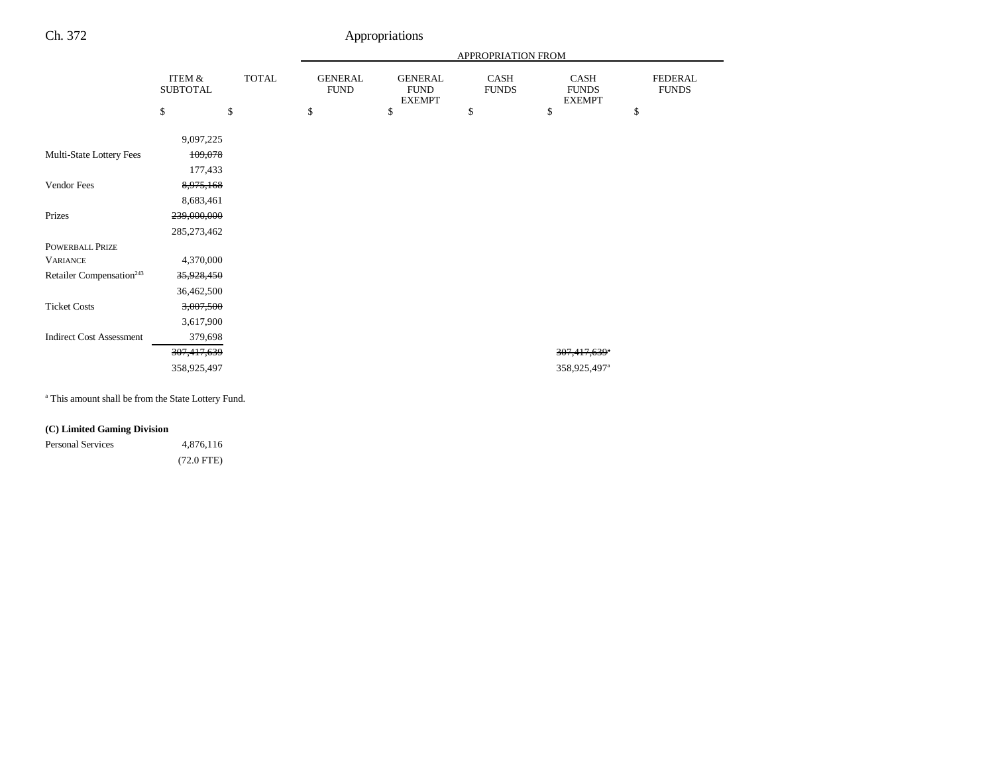| ITEM &          |              |                               |                                                |                      |                                       |                                |
|-----------------|--------------|-------------------------------|------------------------------------------------|----------------------|---------------------------------------|--------------------------------|
| <b>SUBTOTAL</b> | <b>TOTAL</b> | <b>GENERAL</b><br><b>FUND</b> | <b>GENERAL</b><br><b>FUND</b><br><b>EXEMPT</b> | CASH<br><b>FUNDS</b> | CASH<br><b>FUNDS</b><br><b>EXEMPT</b> | <b>FEDERAL</b><br><b>FUNDS</b> |
|                 |              | \$                            | \$                                             | \$                   | \$                                    | \$                             |
| 9,097,225       |              |                               |                                                |                      |                                       |                                |
| 109,078         |              |                               |                                                |                      |                                       |                                |
| 177,433         |              |                               |                                                |                      |                                       |                                |
| 8,975,168       |              |                               |                                                |                      |                                       |                                |
| 8,683,461       |              |                               |                                                |                      |                                       |                                |
| 239,000,000     |              |                               |                                                |                      |                                       |                                |
| 285,273,462     |              |                               |                                                |                      |                                       |                                |
|                 |              |                               |                                                |                      |                                       |                                |
| 4,370,000       |              |                               |                                                |                      |                                       |                                |
| 35,928,450      |              |                               |                                                |                      |                                       |                                |
| 36,462,500      |              |                               |                                                |                      |                                       |                                |
| 3,007,500       |              |                               |                                                |                      |                                       |                                |
| 3,617,900       |              |                               |                                                |                      |                                       |                                |
| 379,698         |              |                               |                                                |                      |                                       |                                |
| 307,417,639     |              |                               |                                                |                      | 307,417,639 <sup>a</sup>              |                                |
| 358,925,497     |              |                               |                                                |                      | 358,925,497 <sup>a</sup>              |                                |
|                 |              |                               |                                                |                      |                                       |                                |
|                 |              | \$                            |                                                |                      |                                       |                                |

a This amount shall be from the State Lottery Fund.

### **(C) Limited Gaming Division**

Personal Services 4,876,116 (72.0 FTE)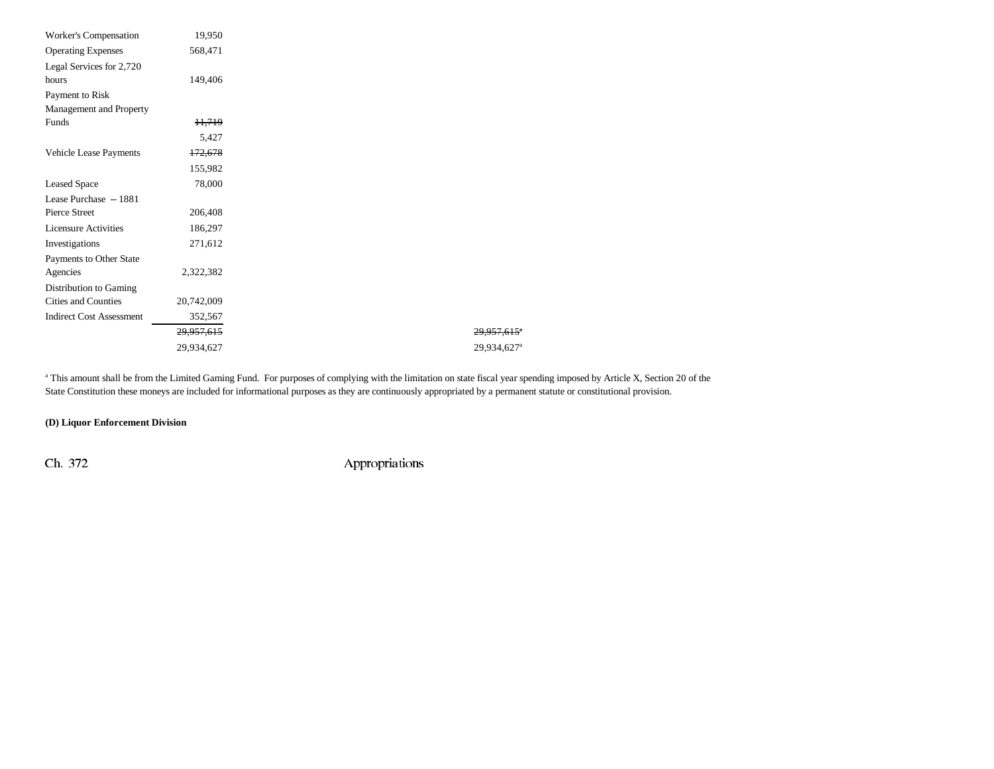| Worker's Compensation           | 19,950                |
|---------------------------------|-----------------------|
| <b>Operating Expenses</b>       | 568,471               |
| Legal Services for 2,720        |                       |
| hours                           | 149,406               |
| Payment to Risk                 |                       |
| Management and Property         |                       |
| Funds                           | <del>11,719</del>     |
|                                 | 5,427                 |
| Vehicle Lease Payments          | 172,678               |
|                                 | 155,982               |
| <b>Leased Space</b>             | 78,000                |
| Lease Purchase -- 1881          |                       |
| <b>Pierce Street</b>            | 206,408               |
| <b>Licensure Activities</b>     | 186,297               |
| Investigations                  | 271,612               |
| Payments to Other State         |                       |
| Agencies                        | 2,322,382             |
| Distribution to Gaming          |                       |
| Cities and Counties             | 20,742,009            |
| <b>Indirect Cost Assessment</b> | 352,567               |
|                                 | <del>29.957.615</del> |
|                                 | 29,934,627            |
|                                 |                       |

<sup>a</sup> This amount shall be from the Limited Gaming Fund. For purposes of complying with the limitation on state fiscal year spending imposed by Article X, Section 20 of the State Constitution these moneys are included for informational purposes as they are continuously appropriated by a permanent statute or constitutional provision.

29,957,615<sup>e</sup> 29,934,627<sup>a</sup>

#### **(D) Liquor Enforcement Division**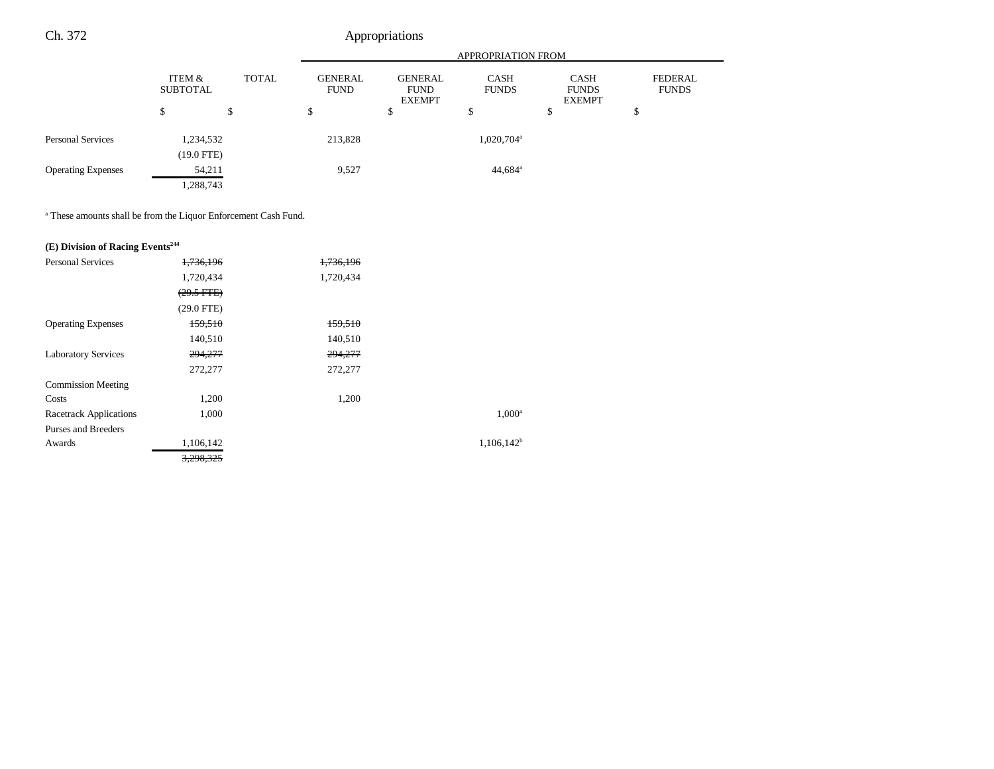|                           |                           |              | APPROPRIATION FROM            |                                                |                             |                                              |                         |
|---------------------------|---------------------------|--------------|-------------------------------|------------------------------------------------|-----------------------------|----------------------------------------------|-------------------------|
|                           | ITEM &<br><b>SUBTOTAL</b> | <b>TOTAL</b> | <b>GENERAL</b><br><b>FUND</b> | <b>GENERAL</b><br><b>FUND</b><br><b>EXEMPT</b> | <b>CASH</b><br><b>FUNDS</b> | <b>CASH</b><br><b>FUNDS</b><br><b>EXEMPT</b> | FEDERAL<br><b>FUNDS</b> |
|                           | \$                        | \$           | \$                            | \$                                             | ¢<br>D                      | \$                                           | \$                      |
| <b>Personal Services</b>  | 1,234,532<br>$(19.0$ FTE) |              | 213,828                       |                                                | 1,020,704 <sup>a</sup>      |                                              |                         |
| <b>Operating Expenses</b> | 54,211<br>1,288,743       |              | 9,527                         |                                                | $44,684$ <sup>a</sup>       |                                              |                         |

a These amounts shall be from the Liquor Enforcement Cash Fund.

# **(E) Division of Racing Events244**

| <b>Personal Services</b>   | 1,736,196    | 1,736,196 |                 |
|----------------------------|--------------|-----------|-----------------|
|                            | 1,720,434    | 1,720,434 |                 |
|                            | $(29.5$ FTE) |           |                 |
|                            | $(29.0$ FTE) |           |                 |
| <b>Operating Expenses</b>  | 159,510      | 159,510   |                 |
|                            | 140,510      | 140,510   |                 |
| <b>Laboratory Services</b> | 294,277      | 294,277   |                 |
|                            | 272,277      | 272,277   |                 |
| <b>Commission Meeting</b>  |              |           |                 |
| Costs                      | 1,200        | 1,200     |                 |
| Racetrack Applications     | 1,000        |           | $1,000^{\circ}$ |
| Purses and Breeders        |              |           |                 |
| Awards                     | 1,106,142    |           | $1,106,142^b$   |
|                            | 3,298,325    |           |                 |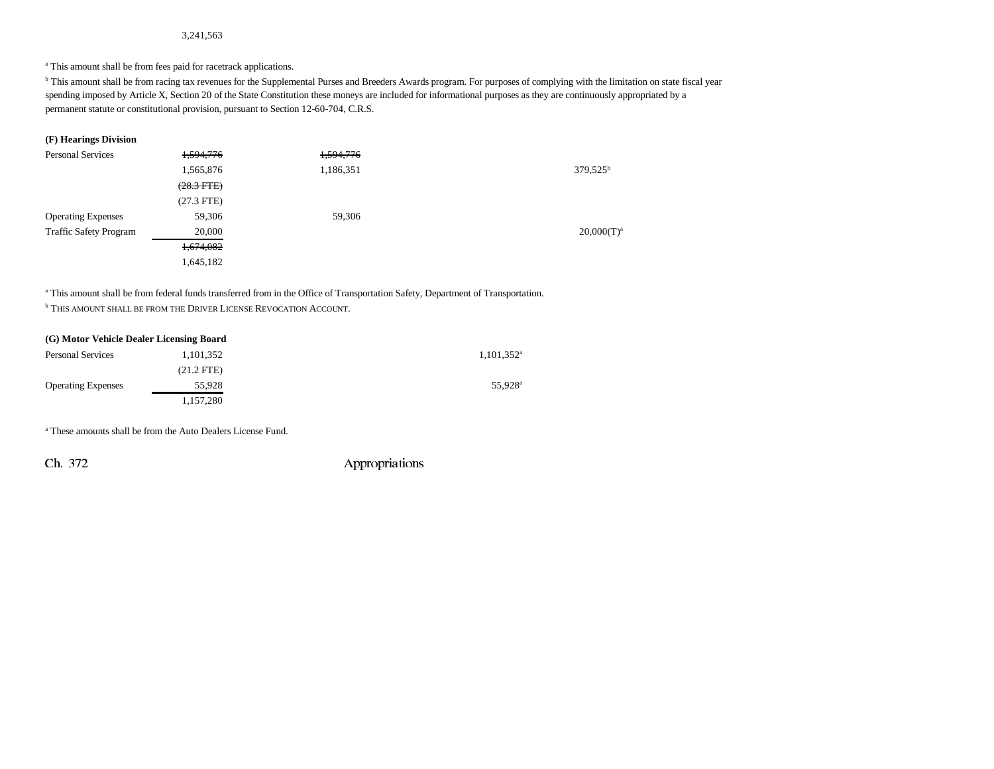#### 3,241,563

a This amount shall be from fees paid for racetrack applications.

<sup>b</sup> This amount shall be from racing tax revenues for the Supplemental Purses and Breeders Awards program. For purposes of complying with the limitation on state fiscal year spending imposed by Article X, Section 20 of the State Constitution these moneys are included for informational purposes as they are continuously appropriated by a permanent statute or constitutional provision, pursuant to Section 12-60-704, C.R.S.

#### **(F) Hearings Division**

| <b>Personal Services</b>      | 1,594,776       | 1,594,776 |               |
|-------------------------------|-----------------|-----------|---------------|
|                               | 1,565,876       | 1,186,351 | $379.525^b$   |
|                               | $(28.3$ FTE $)$ |           |               |
|                               | $(27.3$ FTE)    |           |               |
| <b>Operating Expenses</b>     | 59,306          | 59,306    |               |
| <b>Traffic Safety Program</b> | 20,000          |           | $20,000(T)^a$ |
|                               | 1,674,082       |           |               |
|                               | 1,645,182       |           |               |

a This amount shall be from federal funds transferred from in the Office of Transportation Safety, Department of Transportation.

**b THIS AMOUNT SHALL BE FROM THE DRIVER LICENSE REVOCATION ACCOUNT.** 

| (G) Motor Vehicle Dealer Licensing Board |              |                          |
|------------------------------------------|--------------|--------------------------|
| <b>Personal Services</b>                 | 1,101,352    | $1,101,352$ <sup>a</sup> |
|                                          | $(21.2$ FTE) |                          |
| <b>Operating Expenses</b>                | 55.928       | 55.928 <sup>a</sup>      |
|                                          | 1,157,280    |                          |

a These amounts shall be from the Auto Dealers License Fund.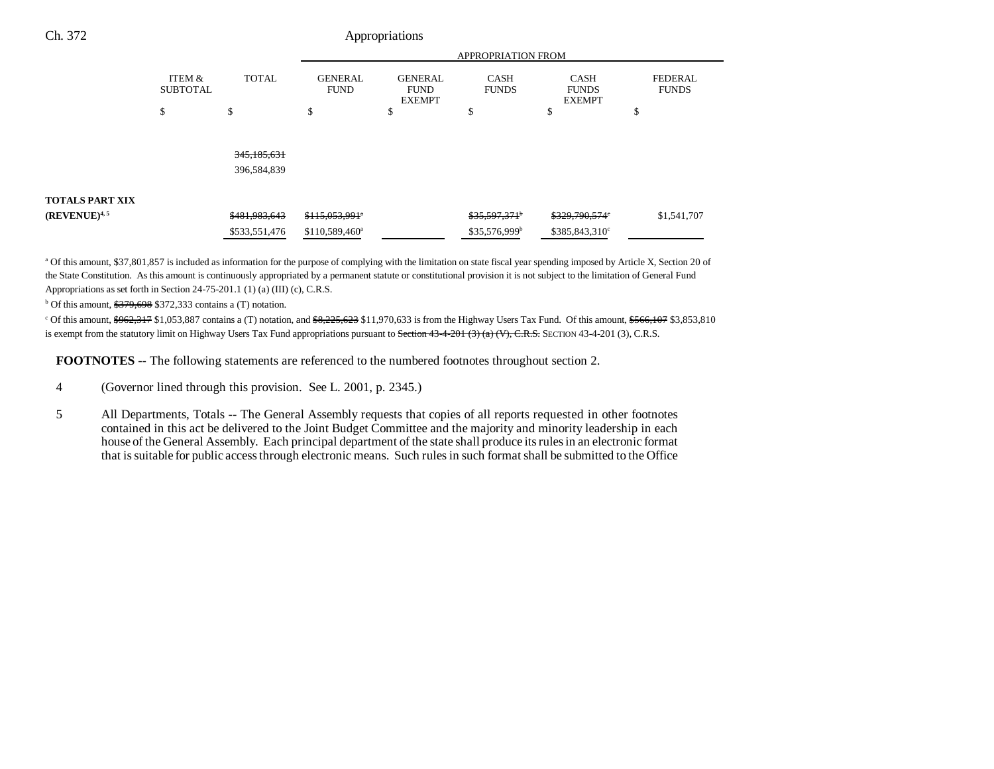|                        |                           |               | <b>APPROPRIATION FROM</b>     |                                                |                             |                                              |                                |
|------------------------|---------------------------|---------------|-------------------------------|------------------------------------------------|-----------------------------|----------------------------------------------|--------------------------------|
|                        | ITEM &<br><b>SUBTOTAL</b> | <b>TOTAL</b>  | <b>GENERAL</b><br><b>FUND</b> | <b>GENERAL</b><br><b>FUND</b><br><b>EXEMPT</b> | <b>CASH</b><br><b>FUNDS</b> | <b>CASH</b><br><b>FUNDS</b><br><b>EXEMPT</b> | <b>FEDERAL</b><br><b>FUNDS</b> |
|                        | \$                        | \$            | \$                            | ሖ<br>Φ                                         | Φ                           | \$                                           | Φ                              |
|                        |                           |               |                               |                                                |                             |                                              |                                |
|                        |                           | 345, 185, 631 |                               |                                                |                             |                                              |                                |
|                        |                           | 396,584,839   |                               |                                                |                             |                                              |                                |
| <b>TOTALS PART XIX</b> |                           |               |                               |                                                |                             |                                              |                                |
| $(REVENUE)^{4,5}$      |                           | \$481,983,643 | $$115,053,991$ <sup>*</sup>   |                                                | \$35,597,371                | \$329,790,574°                               | \$1,541,707                    |
|                        |                           | \$533,551,476 | \$110,589,460 <sup>a</sup>    |                                                | \$35,576,999 <sup>b</sup>   | \$385,843,310°                               |                                |

a Of this amount, \$37,801,857 is included as information for the purpose of complying with the limitation on state fiscal year spending imposed by Article X, Section 20 of the State Constitution. As this amount is continuously appropriated by a permanent statute or constitutional provision it is not subject to the limitation of General Fund Appropriations as set forth in Section 24-75-201.1 (1) (a) (III) (c), C.R.S.

 $b$  Of this amount,  $$379,698$  \$372,333 contains a (T) notation.

 $c$  Of this amount,  $$962,317$$  \$1,053,887 contains a (T) notation, and  $$8,225,623$$  \$11,970,633 is from the Highway Users Tax Fund. Of this amount,  $$566,107$$  \$3,853,810 is exempt from the statutory limit on Highway Users Tax Fund appropriations pursuant to Section 43-4-201 (3) (a) (V), C.R.S. SECTION 43-4-201 (3), C.R.S.

**FOOTNOTES** -- The following statements are referenced to the numbered footnotes throughout section 2.

- 4 (Governor lined through this provision. See L. 2001, p. 2345.)
- 5 All Departments, Totals -- The General Assembly requests that copies of all reports requested in other footnotes contained in this act be delivered to the Joint Budget Committee and the majority and minority leadership in each house of the General Assembly. Each principal department of the state shall produce its rules in an electronic format that is suitable for public access through electronic means. Such rules in such format shall be submitted to the Office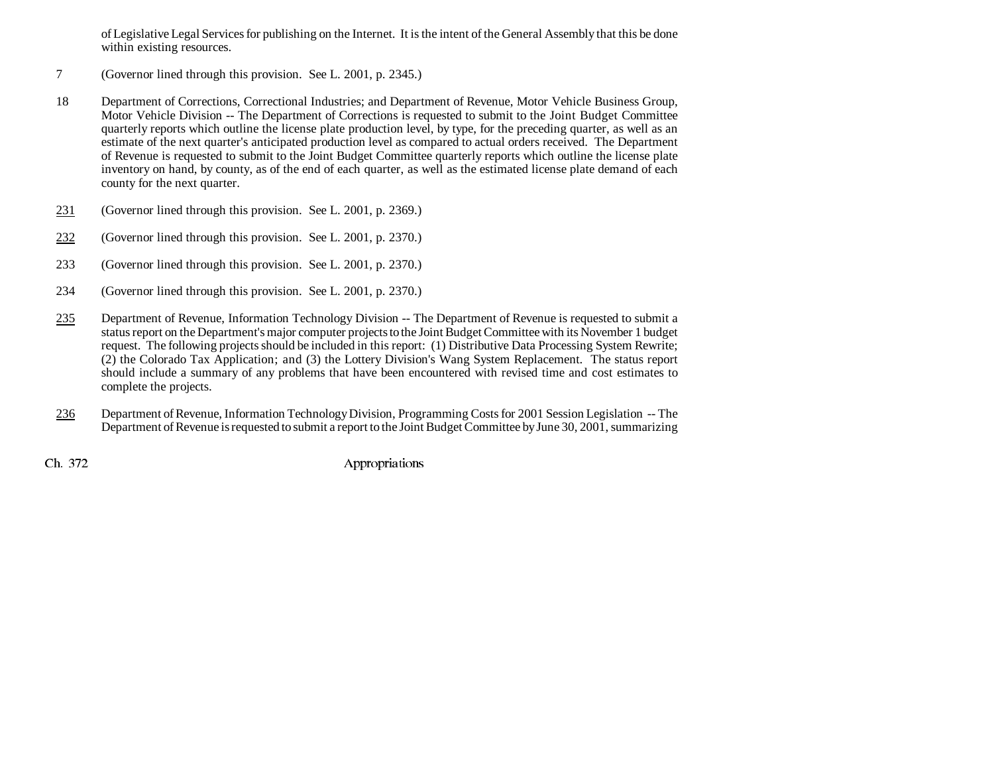of Legislative Legal Services for publishing on the Internet. It is the intent of the General Assembly that this be done within existing resources.

- 7 (Governor lined through this provision. See L. 2001, p. 2345.)
- 18 Department of Corrections, Correctional Industries; and Department of Revenue, Motor Vehicle Business Group, Motor Vehicle Division -- The Department of Corrections is requested to submit to the Joint Budget Committee quarterly reports which outline the license plate production level, by type, for the preceding quarter, as well as an estimate of the next quarter's anticipated production level as compared to actual orders received. The Department of Revenue is requested to submit to the Joint Budget Committee quarterly reports which outline the license plate inventory on hand, by county, as of the end of each quarter, as well as the estimated license plate demand of each county for the next quarter.
- 231(Governor lined through this provision. See L. 2001, p. 2369.)
- 232(Governor lined through this provision. See L. 2001, p. 2370.)
- 233 (Governor lined through this provision. See L. 2001, p. 2370.)
- 234 (Governor lined through this provision. See L. 2001, p. 2370.)
- 235 Department of Revenue, Information Technology Division -- The Department of Revenue is requested to submit a status report on the Department's major computer projects to the Joint Budget Committee with its November 1 budget request. The following projects should be included in this report: (1) Distributive Data Processing System Rewrite; (2) the Colorado Tax Application; and (3) the Lottery Division's Wang System Replacement. The status report should include a summary of any problems that have been encountered with revised time and cost estimates to complete the projects.
- 236 Department of Revenue, Information Technology Division, Programming Costs for 2001 Session Legislation -- The Department of Revenue is requested to submit a report to the Joint Budget Committee by June 30, 2001, summarizing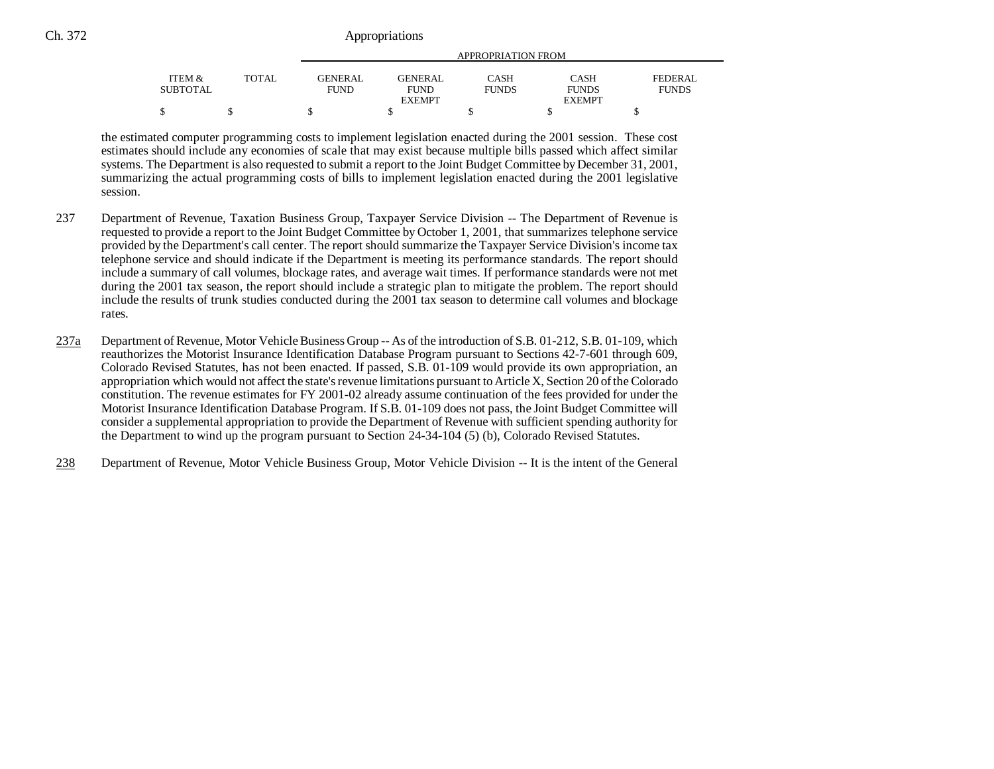|                                 |              | APPROPRIATION FROM |               |              |               |              |
|---------------------------------|--------------|--------------------|---------------|--------------|---------------|--------------|
| <b>ITEM <math>\&amp;</math></b> | <b>TOTAL</b> | <b>GENERAL</b>     | GENERAL.      | CASH         | <b>CASH</b>   | FEDERAL      |
| <b>SUBTOTAL</b>                 |              | <b>FUND</b>        | <b>FUND</b>   | <b>FUNDS</b> | <b>FUNDS</b>  | <b>FUNDS</b> |
|                                 |              |                    | <b>EXEMPT</b> |              | <b>EXEMPT</b> |              |
| ጦ                               |              |                    |               |              |               |              |

the estimated computer programming costs to implement legislation enacted during the 2001 session. These cost estimates should include any economies of scale that may exist because multiple bills passed which affect similar systems. The Department is also requested to submit a report to the Joint Budget Committee by December 31, 2001, summarizing the actual programming costs of bills to implement legislation enacted during the 2001 legislative session.

- 237 Department of Revenue, Taxation Business Group, Taxpayer Service Division -- The Department of Revenue is requested to provide a report to the Joint Budget Committee by October 1, 2001, that summarizes telephone service provided by the Department's call center. The report should summarize the Taxpayer Service Division's income tax telephone service and should indicate if the Department is meeting its performance standards. The report should include a summary of call volumes, blockage rates, and average wait times. If performance standards were not met during the 2001 tax season, the report should include a strategic plan to mitigate the problem. The report should include the results of trunk studies conducted during the 2001 tax season to determine call volumes and blockage rates.
- 237a Department of Revenue, Motor Vehicle Business Group -- As of the introduction of S.B. 01-212, S.B. 01-109, which reauthorizes the Motorist Insurance Identification Database Program pursuant to Sections 42-7-601 through 609, Colorado Revised Statutes, has not been enacted. If passed, S.B. 01-109 would provide its own appropriation, an appropriation which would not affect the state's revenue limitations pursuant to Article X, Section 20 of the Colorado constitution. The revenue estimates for FY 2001-02 already assume continuation of the fees provided for under the Motorist Insurance Identification Database Program. If S.B. 01-109 does not pass, the Joint Budget Committee will consider a supplemental appropriation to provide the Department of Revenue with sufficient spending authority for the Department to wind up the program pursuant to Section 24-34-104 (5) (b), Colorado Revised Statutes.
- 238Department of Revenue, Motor Vehicle Business Group, Motor Vehicle Division -- It is the intent of the General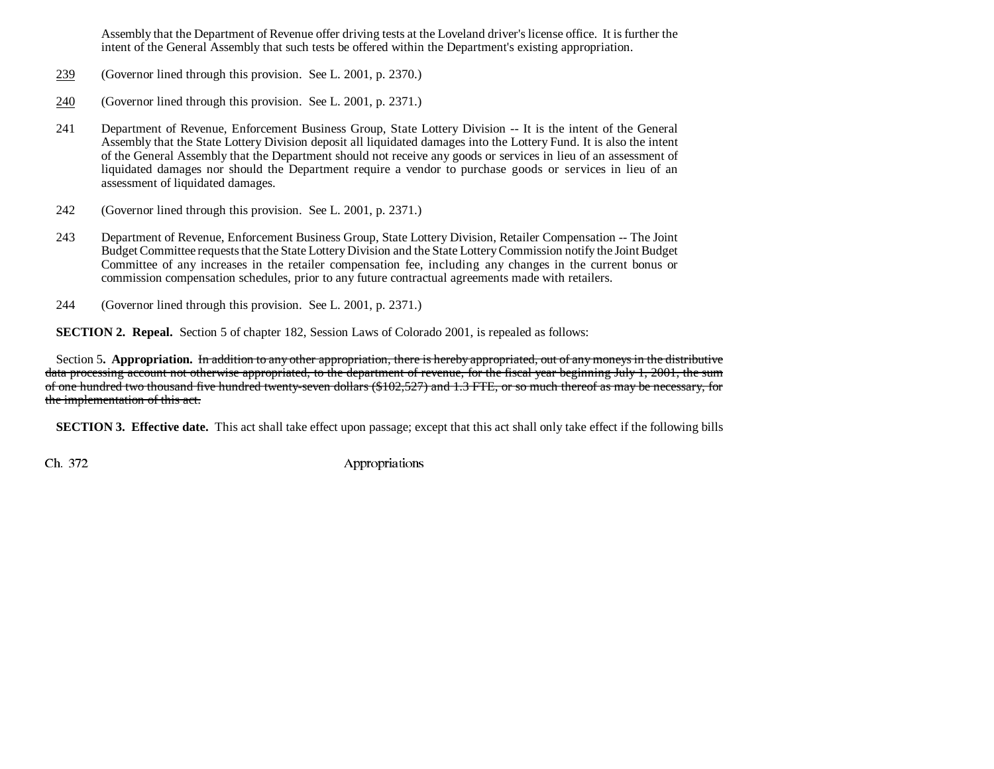Assembly that the Department of Revenue offer driving tests at the Loveland driver's license office. It is further the intent of the General Assembly that such tests be offered within the Department's existing appropriation.

- 239(Governor lined through this provision. See L. 2001, p. 2370.)
- 240(Governor lined through this provision. See L. 2001, p. 2371.)
- 241 Department of Revenue, Enforcement Business Group, State Lottery Division -- It is the intent of the General Assembly that the State Lottery Division deposit all liquidated damages into the Lottery Fund. It is also the intent of the General Assembly that the Department should not receive any goods or services in lieu of an assessment of liquidated damages nor should the Department require a vendor to purchase goods or services in lieu of an assessment of liquidated damages.
- 242 (Governor lined through this provision. See L. 2001, p. 2371.)
- 243 Department of Revenue, Enforcement Business Group, State Lottery Division, Retailer Compensation -- The Joint Budget Committee requests that the State Lottery Division and the State Lottery Commission notify the Joint Budget Committee of any increases in the retailer compensation fee, including any changes in the current bonus or commission compensation schedules, prior to any future contractual agreements made with retailers.
- 244 (Governor lined through this provision. See L. 2001, p. 2371.)

**SECTION 2. Repeal.** Section 5 of chapter 182, Session Laws of Colorado 2001, is repealed as follows:

Section 5**. Appropriation.** In addition to any other appropriation, there is hereby appropriated, out of any moneys in the distributive data processing account not otherwise appropriated, to the department of revenue, for the fiscal year beginning July 1, 2001, the sum of one hundred two thousand five hundred twenty-seven dollars (\$102,527) and 1.3 FTE, or so much thereof as may be necessary, for the implementation of this act.

**SECTION 3. Effective date.** This act shall take effect upon passage; except that this act shall only take effect if the following bills